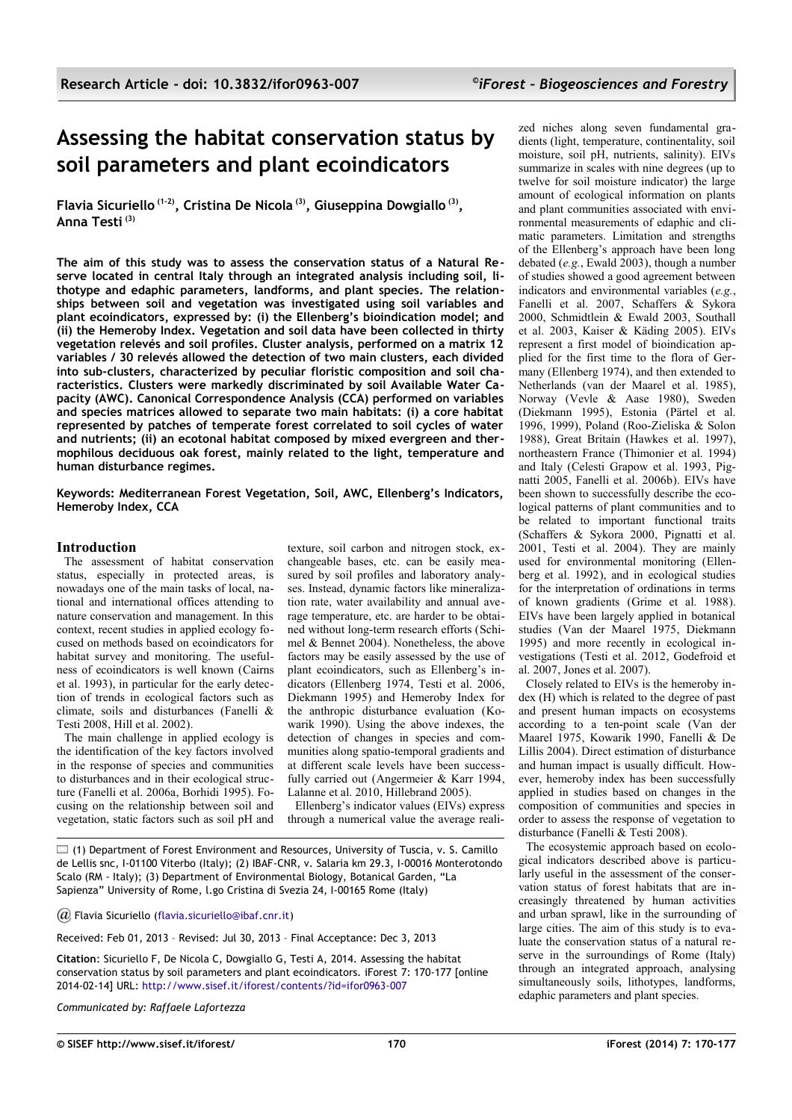# **Assessing the habitat conservation status by soil parameters and plant ecoindicators**

**Flavia Sicuriello (1-2), Cristina De Nicola (3), Giuseppina Dowgiallo (3) , Anna Testi (3)**

**The aim of this study was to assess the conservation status of a Natural Reserve located in central Italy through an integrated analysis including soil, lithotype and edaphic parameters, landforms, and plant species. The relationships between soil and vegetation was investigated using soil variables and plant ecoindicators, expressed by: (i) the Ellenberg's bioindication model; and (ii) the Hemeroby Index. Vegetation and soil data have been collected in thirty vegetation relevés and soil profiles. Cluster analysis, performed on a matrix 12 variables / 30 relevés allowed the detection of two main clusters, each divided into sub-clusters, characterized by peculiar floristic composition and soil characteristics. Clusters were markedly discriminated by soil Available Water Capacity (AWC). Canonical Correspondence Analysis (CCA) performed on variables and species matrices allowed to separate two main habitats: (i) a core habitat represented by patches of temperate forest correlated to soil cycles of water and nutrients; (ii) an ecotonal habitat composed by mixed evergreen and thermophilous deciduous oak forest, mainly related to the light, temperature and human disturbance regimes.**

**Keywords: Mediterranean Forest Vegetation, Soil, AWC, Ellenberg's Indicators, Hemeroby Index, CCA**

## **Introduction**

The assessment of habitat conservation status, especially in protected areas, is nowadays one of the main tasks of local, national and international offices attending to nature conservation and management. In this context, recent studies in applied ecology focused on methods based on ecoindicators for habitat survey and monitoring. The usefulness of ecoindicators is well known (Cairns et al. 1993), in particular for the early detection of trends in ecological factors such as climate, soils and disturbances (Fanelli & Testi 2008, Hill et al. 2002).

The main challenge in applied ecology is the identification of the key factors involved in the response of species and communities to disturbances and in their ecological structure (Fanelli et al. 2006a, Borhidi 1995). Focusing on the relationship between soil and vegetation, static factors such as soil pH and texture, soil carbon and nitrogen stock, exchangeable bases, etc. can be easily measured by soil profiles and laboratory analyses. Instead, dynamic factors like mineralization rate, water availability and annual average temperature, etc. are harder to be obtained without long-term research efforts (Schimel & Bennet 2004). Nonetheless, the above factors may be easily assessed by the use of plant ecoindicators, such as Ellenberg's indicators (Ellenberg 1974, Testi et al. 2006, Diekmann 1995) and Hemeroby Index for the anthropic disturbance evaluation (Kowarik 1990). Using the above indexes, the detection of changes in species and communities along spatio-temporal gradients and at different scale levels have been successfully carried out (Angermeier & Karr 1994, Lalanne et al. 2010, Hillebrand 2005).

Ellenberg's indicator values (EIVs) express through a numerical value the average reali-

 $\square$  (1) Department of Forest Environment and Resources, University of Tuscia, v. S. Camillo de Lellis snc, I-01100 Viterbo (Italy); (2) IBAF-CNR, v. Salaria km 29.3, I-00016 Monterotondo Scalo (RM - Italy); (3) Department of Environmental Biology, Botanical Garden, "La Sapienza" University of Rome, l.go Cristina di Svezia 24, I-00165 Rome (Italy)

*@* Flavia Sicuriello [\(flavia.sicuriello@ibaf.cnr.it\)](mailto:)

Received: Feb 01, 2013 – Revised: Jul 30, 2013 – Final Acceptance: Dec 3, 2013

**Citation**: Sicuriello F, De Nicola C, Dowgiallo G, Testi A, 2014. Assessing the habitat conservation status by soil parameters and plant ecoindicators. iForest 7: 170-177 [online 2014-02-14] URL:<http://www.sisef.it/iforest/contents/?id=ifor0963-007>

*Communicated by: Raffaele Lafortezza*

zed niches along seven fundamental gradients (light, temperature, continentality, soil moisture, soil pH, nutrients, salinity). EIVs summarize in scales with nine degrees (up to twelve for soil moisture indicator) the large amount of ecological information on plants and plant communities associated with environmental measurements of edaphic and climatic parameters. Limitation and strengths of the Ellenberg's approach have been long debated (*e.g.*, Ewald 2003), though a number of studies showed a good agreement between indicators and environmental variables (*e.g.*, Fanelli et al. 2007, Schaffers & Sykora 2000, Schmidtlein & Ewald 2003, Southall et al. 2003, Kaiser & Käding 2005). EIVs represent a first model of bioindication applied for the first time to the flora of Germany (Ellenberg 1974), and then extended to Netherlands (van der Maarel et al. 1985), Norway (Vevle & Aase 1980), Sweden (Diekmann 1995), Estonia (Pärtel et al. 1996, 1999), Poland (Roo-Zieliska & Solon 1988), Great Britain (Hawkes et al. 1997), northeastern France (Thimonier et al. 1994) and Italy (Celesti Grapow et al. 1993, Pignatti 2005, Fanelli et al. 2006b). EIVs have been shown to successfully describe the ecological patterns of plant communities and to be related to important functional traits (Schaffers & Sykora 2000, Pignatti et al. 2001, Testi et al. 2004). They are mainly used for environmental monitoring (Ellenberg et al. 1992), and in ecological studies for the interpretation of ordinations in terms of known gradients (Grime et al. 1988). EIVs have been largely applied in botanical studies (Van der Maarel 1975, Diekmann 1995) and more recently in ecological investigations (Testi et al. 2012, Godefroid et al. 2007, Jones et al. 2007).

Closely related to EIVs is the hemeroby index (H) which is related to the degree of past and present human impacts on ecosystems according to a ten-point scale (Van der Maarel 1975, Kowarik 1990, Fanelli & De Lillis 2004). Direct estimation of disturbance and human impact is usually difficult. However, hemeroby index has been successfully applied in studies based on changes in the composition of communities and species in order to assess the response of vegetation to disturbance (Fanelli & Testi 2008).

The ecosystemic approach based on ecological indicators described above is particularly useful in the assessment of the conservation status of forest habitats that are increasingly threatened by human activities and urban sprawl, like in the surrounding of large cities. The aim of this study is to evaluate the conservation status of a natural reserve in the surroundings of Rome (Italy) through an integrated approach, analysing simultaneously soils, lithotypes, landforms, edaphic parameters and plant species.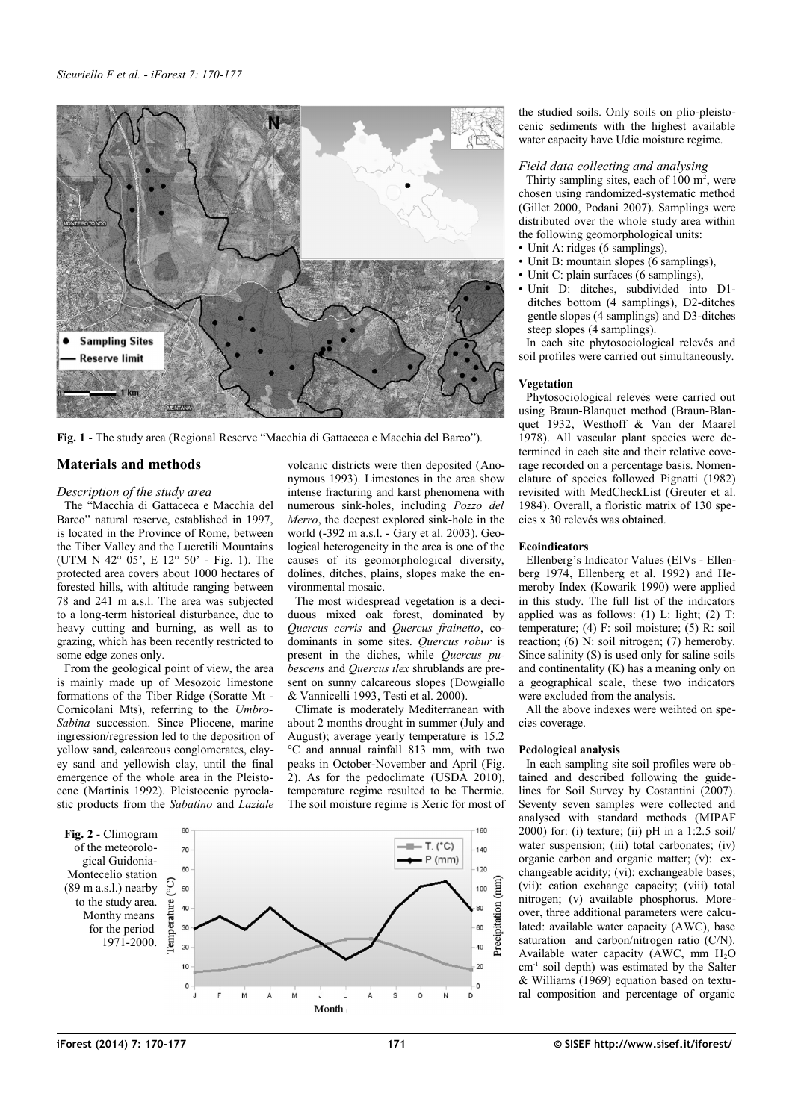

**Fig. 1** - The study area (Regional Reserve "Macchia di Gattaceca e Macchia del Barco").

# <span id="page-1-1"></span>**Materials and methods**

#### *Description of the study area*

The "Macchia di Gattaceca e Macchia del Barco" natural reserve, established in 1997, is located in the Province of Rome, between the Tiber Valley and the Lucretili Mountains (UTM N 42° 05', E 12° 50' - [Fig. 1\)](#page-1-1). The protected area covers about 1000 hectares of forested hills, with altitude ranging between 78 and 241 m a.s.l. The area was subjected to a long-term historical disturbance, due to heavy cutting and burning, as well as to grazing, which has been recently restricted to some edge zones only.

From the geological point of view, the area is mainly made up of Mesozoic limestone formations of the Tiber Ridge (Soratte Mt - Cornicolani Mts), referring to the *Umbro-Sabina* succession. Since Pliocene, marine ingression/regression led to the deposition of yellow sand, calcareous conglomerates, clayey sand and yellowish clay, until the final emergence of the whole area in the Pleistocene (Martinis 1992). Pleistocenic pyroclastic products from the *Sabatino* and *Laziale* volcanic districts were then deposited (Anonymous 1993). Limestones in the area show intense fracturing and karst phenomena with numerous sink-holes, including *Pozzo del Merro*, the deepest explored sink-hole in the world (-392 m a.s.l. - Gary et al. 2003). Geological heterogeneity in the area is one of the causes of its geomorphological diversity, dolines, ditches, plains, slopes make the environmental mosaic.

The most widespread vegetation is a deciduous mixed oak forest, dominated by *Quercus cerris* and *Quercus frainetto*, codominants in some sites. *Quercus robur* is present in the diches, while *Quercus pubescens* and *Quercus ilex* shrublands are present on sunny calcareous slopes (Dowgiallo & Vannicelli 1993, Testi et al. 2000).

Climate is moderately Mediterranean with about 2 months drought in summer (July and August); average yearly temperature is 15.2 °C and annual rainfall 813 mm, with two peaks in October-November and April [\(Fig.](#page-1-0) [2\)](#page-1-0). As for the pedoclimate (USDA 2010), temperature regime resulted to be Thermic. The soil moisture regime is Xeric for most of

<span id="page-1-0"></span>

the studied soils. Only soils on plio-pleistocenic sediments with the highest available water capacity have Udic moisture regime.

#### *Field data collecting and analysing*

Thirty sampling sites, each of  $100 \text{ m}^2$ , were chosen using randomized-systematic method (Gillet 2000, Podani 2007). Samplings were distributed over the whole study area within the following geomorphological units:

- Unit A: ridges (6 samplings),
- Unit B: mountain slopes (6 samplings),
- Unit C: plain surfaces (6 samplings), • Unit D: ditches, subdivided into D1 ditches bottom (4 samplings), D2-ditches
- gentle slopes (4 samplings) and D3-ditches steep slopes (4 samplings). In each site phytosociological relevés and

soil profiles were carried out simultaneously.

#### **Vegetation**

Phytosociological relevés were carried out using Braun-Blanquet method (Braun-Blanquet 1932, Westhoff & Van der Maarel 1978). All vascular plant species were determined in each site and their relative coverage recorded on a percentage basis. Nomenclature of species followed Pignatti (1982) revisited with MedCheckList (Greuter et al. 1984). Overall, a floristic matrix of 130 species x 30 relevés was obtained.

#### **Ecoindicators**

Ellenberg's Indicator Values (EIVs - Ellenberg 1974, Ellenberg et al. 1992) and Hemeroby Index (Kowarik 1990) were applied in this study. The full list of the indicators applied was as follows:  $(1)$  L: light;  $(2)$  T: temperature; (4) F: soil moisture; (5) R: soil reaction; (6) N: soil nitrogen; (7) hemeroby. Since salinity (S) is used only for saline soils and continentality (K) has a meaning only on a geographical scale, these two indicators were excluded from the analysis.

All the above indexes were weihted on species coverage.

## **Pedological analysis**

In each sampling site soil profiles were obtained and described following the guidelines for Soil Survey by Costantini (2007). Seventy seven samples were collected and analysed with standard methods (MIPAF 2000) for: (i) texture; (ii) pH in a 1:2.5 soil/ water suspension; (iii) total carbonates; (iv) organic carbon and organic matter; (v): exchangeable acidity; (vi): exchangeable bases; (vii): cation exchange capacity; (viii) total nitrogen; (v) available phosphorus. Moreover, three additional parameters were calculated: available water capacity (AWC), base saturation and carbon/nitrogen ratio (C/N). Available water capacity (AWC, mm  $H<sub>2</sub>O$ cm<sup>-1</sup> soil depth) was estimated by the Salter & Williams (1969) equation based on textural composition and percentage of organic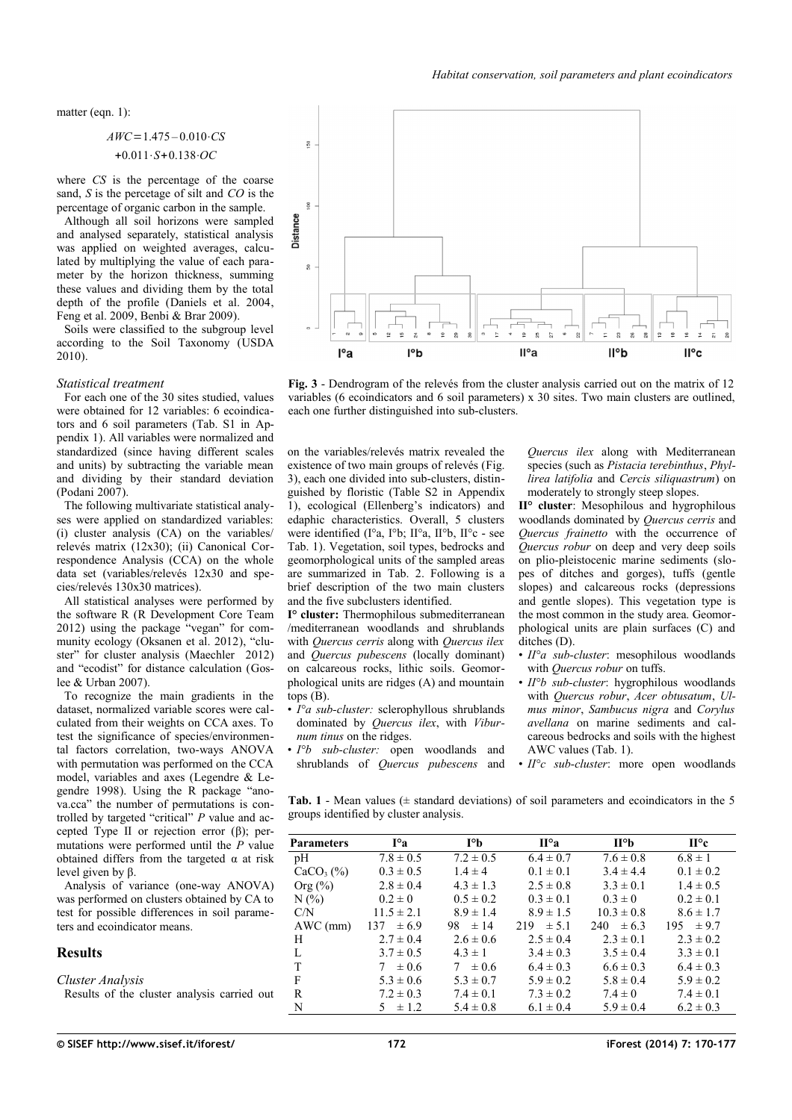matter (eqn. 1):

$$
AWC = 1.475 - 0.010 \cdot CS
$$
  
+0.011 \cdot S + 0.138 \cdot OC

where *CS* is the percentage of the coarse sand, *S* is the percetage of silt and *CO* is the percentage of organic carbon in the sample.

Although all soil horizons were sampled and analysed separately, statistical analysis was applied on weighted averages, calculated by multiplying the value of each parameter by the horizon thickness, summing these values and dividing them by the total depth of the profile (Daniels et al. 2004, Feng et al. 2009, Benbi & Brar 2009).

Soils were classified to the subgroup level according to the Soil Taxonomy (USDA 2010).

#### *Statistical treatment*

For each one of the 30 sites studied, values were obtained for 12 variables: 6 ecoindicators and 6 soil parameters (Tab. S1 in [Ap](#page-7-0)[pendix 1\)](#page-7-0). All variables were normalized and standardized (since having different scales and units) by subtracting the variable mean and dividing by their standard deviation (Podani 2007).

The following multivariate statistical analyses were applied on standardized variables: (i) cluster analysis (CA) on the variables/ relevés matrix (12x30); (ii) Canonical Correspondence Analysis (CCA) on the whole data set (variables/relevés 12x30 and species/relevés 130x30 matrices).

All statistical analyses were performed by the software R (R Development Core Team 2012) using the package "vegan" for community ecology (Oksanen et al. 2012), "cluster" for cluster analysis (Maechler 2012) and "ecodist" for distance calculation (Goslee & Urban 2007).

To recognize the main gradients in the dataset, normalized variable scores were calculated from their weights on CCA axes. To test the significance of species/environmental factors correlation, two-ways ANOVA with permutation was performed on the CCA model, variables and axes (Legendre & Legendre 1998). Using the R package "anova.cca" the number of permutations is controlled by targeted "critical" *P* value and accepted Type II or rejection error (β); permutations were performed until the *P* value obtained differs from the targeted  $\alpha$  at risk level given by β.

Analysis of variance (one-way ANOVA) was performed on clusters obtained by CA to test for possible differences in soil parameters and ecoindicator means.

## **Results**

*Cluster Analysis*

Results of the cluster analysis carried out



<span id="page-2-1"></span>**Fig. 3** - Dendrogram of the relevés from the cluster analysis carried out on the matrix of 12 variables (6 ecoindicators and 6 soil parameters) x 30 sites. Two main clusters are outlined, each one further distinguished into sub-clusters.

on the variables/relevés matrix revealed the existence of two main groups of relevés [\(Fig.](#page-2-1) [3\)](#page-2-1), each one divided into sub-clusters, distinguished by floristic (Table S2 in [Appendix](#page-7-0) [1\)](#page-7-0), ecological (Ellenberg's indicators) and edaphic characteristics. Overall, 5 clusters were identified (I°a, I°b; II°a, II°b, II°c - see [Tab. 1\)](#page-2-0). Vegetation, soil types, bedrocks and geomorphological units of the sampled areas are summarized in [Tab. 2.](#page-3-0) Following is a brief description of the two main clusters and the five subclusters identified.

**I° cluster:** Thermophilous submediterranean /mediterranean woodlands and shrublands with *Quercus cerris* along with *Quercus ilex* and *Quercus pubescens* (locally dominant) on calcareous rocks, lithic soils. Geomorphological units are ridges (A) and mountain tops (B).

- *I°a sub-cluster:* sclerophyllous shrublands dominated by *Quercus ilex*, with *Viburnum tinus* on the ridges.
- *I°b sub-cluster:* open woodlands and shrublands of *Quercus pubescens* and

*Quercus ilex* along with Mediterranean species (such as *Pistacia terebinthus*, *Phyllirea latifolia* and *Cercis siliquastrum*) on moderately to strongly steep slopes.

**II° cluster**: Mesophilous and hygrophilous woodlands dominated by *Quercus cerris* and *Quercus frainetto* with the occurrence of *Quercus robur* on deep and very deep soils on plio-pleistocenic marine sediments (slopes of ditches and gorges), tuffs (gentle slopes) and calcareous rocks (depressions and gentle slopes). This vegetation type is the most common in the study area. Geomorphological units are plain surfaces (C) and ditches (D).

- *II°a sub-cluster*: mesophilous woodlands with *Quercus robur* on tuffs.
- *II°b sub-cluster*: hygrophilous woodlands with *Quercus robur*, *Acer obtusatum*, *Ulmus minor*, *Sambucus nigra* and *Corylus avellana* on marine sediments and calcareous bedrocks and soils with the highest AWC values [\(Tab. 1\)](#page-2-0).
- *II°c sub-cluster*: more open woodlands

<span id="page-2-0"></span>**Tab. 1** - Mean values  $(\pm \text{ standard deviations})$  of soil parameters and ecoindicators in the 5 groups identified by cluster analysis.

| <b>Parameters</b> | $I^{\circ}a$     | $I^{\circ}$    | $\Pi^{\circ}a$   | $\Pi^{\circ}$  | $\Pi^{\circ}$ c |
|-------------------|------------------|----------------|------------------|----------------|-----------------|
| pH                | $7.8 \pm 0.5$    | $7.2 \pm 0.5$  | $6.4 \pm 0.7$    | $7.6 \pm 0.8$  | $6.8 \pm 1$     |
| $CaCO3(\%)$       | $0.3 \pm 0.5$    | $1.4 \pm 4$    | $0.1 \pm 0.1$    | $3.4 \pm 4.4$  | $0.1 \pm 0.2$   |
| Org $(\% )$       | $2.8 \pm 0.4$    | $4.3 \pm 1.3$  | $2.5 \pm 0.8$    | $3.3 \pm 0.1$  | $1.4 \pm 0.5$   |
| N(%               | $0.2 \pm 0$      | $0.5 \pm 0.2$  | $0.3 \pm 0.1$    | $0.3 \pm 0$    | $0.2 \pm 0.1$   |
| C/N               | $11.5 \pm 2.1$   | $8.9 \pm 1.4$  | $8.9 \pm 1.5$    | $10.3 \pm 0.8$ | $8.6 \pm 1.7$   |
| AWC (mm)          | $\pm 6.9$<br>137 | $98 \pm 14$    | $\pm$ 5.1<br>219 | $240 \pm 6.3$  | $195 \pm 9.7$   |
| H                 | $2.7 \pm 0.4$    | $2.6 \pm 0.6$  | $2.5 \pm 0.4$    | $2.3 \pm 0.1$  | $2.3 \pm 0.2$   |
| L                 | $3.7 \pm 0.5$    | $4.3 \pm 1$    | $3.4 \pm 0.3$    | $3.5 \pm 0.4$  | $3.3 \pm 0.1$   |
| T                 | $\pm 0.6$<br>7   | $\pm 0.6$<br>7 | $6.4 \pm 0.3$    | $6.6 \pm 0.3$  | $6.4 \pm 0.3$   |
| F                 | $5.3 \pm 0.6$    | $5.3 \pm 0.7$  | $5.9 \pm 0.2$    | $5.8 \pm 0.4$  | $5.9 \pm 0.2$   |
| R                 | $7.2 \pm 0.3$    | $7.4 \pm 0.1$  | $7.3 \pm 0.2$    | $7.4 \pm 0$    | $7.4 \pm 0.1$   |
| N                 | $\pm$ 1.2<br>5.  | $5.4 \pm 0.8$  | $6.1 \pm 0.4$    | $5.9 \pm 0.4$  | $6.2 \pm 0.3$   |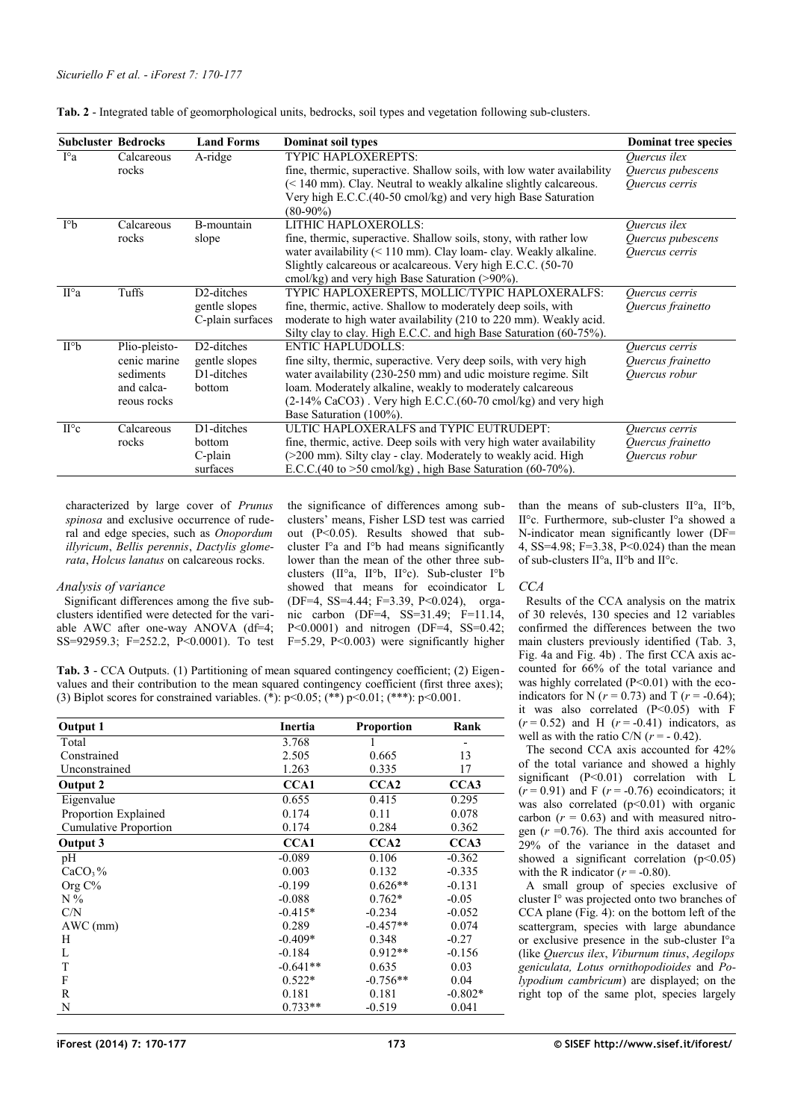| <b>Subcluster Bedrocks</b> |               | <b>Land Forms</b>       | Dominat soil types                                                        | <b>Dominat tree species</b> |
|----------------------------|---------------|-------------------------|---------------------------------------------------------------------------|-----------------------------|
| $I^{\circ}a$               | Calcareous    | A-ridge                 | <b>TYPIC HAPLOXEREPTS:</b>                                                | Ouercus ilex                |
|                            | rocks         |                         | fine, thermic, superactive. Shallow soils, with low water availability    | Quercus pubescens           |
|                            |               |                         | $(< 140$ mm). Clay. Neutral to weakly alkaline slightly calcareous.       | Quercus cerris              |
|                            |               |                         | Very high E.C.C. (40-50 cmol/kg) and very high Base Saturation            |                             |
|                            |               |                         | $(80-90\%)$                                                               |                             |
| $I^{\circ}b$               | Calcareous    | B-mountain              | LITHIC HAPLOXEROLLS:                                                      | Ouercus ilex                |
|                            | rocks         | slope                   | fine, thermic, superactive. Shallow soils, stony, with rather low         | Quercus pubescens           |
|                            |               |                         | water availability $(< 110$ mm). Clay loam-clay. Weakly alkaline.         | Quercus cerris              |
|                            |               |                         | Slightly calcareous or acalcareous. Very high E.C.C. (50-70)              |                             |
|                            |               |                         | cmol/kg) and very high Base Saturation (>90%).                            |                             |
| $II^{\circ}a$              | Tuffs         | D <sub>2</sub> -ditches | TYPIC HAPLOXEREPTS, MOLLIC/TYPIC HAPLOXERALFS:                            | Quercus cerris              |
|                            |               | gentle slopes           | fine, thermic, active. Shallow to moderately deep soils, with             | Quercus frainetto           |
|                            |               | C-plain surfaces        | moderate to high water availability (210 to 220 mm). Weakly acid.         |                             |
|                            |               |                         | Silty clay to clay. High E.C.C. and high Base Saturation (60-75%).        |                             |
| $II^{\circ}b$              | Plio-pleisto- | D <sub>2</sub> -ditches | <b>ENTIC HAPLUDOLLS:</b>                                                  | Quercus cerris              |
|                            | cenic marine  | gentle slopes           | fine silty, thermic, superactive. Very deep soils, with very high         | Quercus frainetto           |
|                            | sediments     | D1-ditches              | water availability (230-250 mm) and udic moisture regime. Silt            | Quercus robur               |
|                            | and calca-    | bottom                  | loam. Moderately alkaline, weakly to moderately calcareous                |                             |
|                            | reous rocks   |                         | $(2-14\%$ CaCO3). Very high E.C.C. $(60-70 \text{ cm})$ kg) and very high |                             |
|                            |               |                         | Base Saturation (100%).                                                   |                             |
| $II^{\circ}c$              | Calcareous    | D1-ditches              | ULTIC HAPLOXERALFS and TYPIC EUTRUDEPT:                                   | Quercus cerris              |
|                            | rocks         | bottom                  | fine, thermic, active. Deep soils with very high water availability       | Quercus frainetto           |
|                            |               | $C$ -plain              | $(200 \text{ mm})$ . Silty clay - clay. Moderately to weakly acid. High   | Quercus robur               |
|                            |               | surfaces                | E.C.C.(40 to >50 cmol/kg), high Base Saturation (60-70%).                 |                             |

<span id="page-3-0"></span>**Tab. 2** - Integrated table of geomorphological units, bedrocks, soil types and vegetation following sub-clusters.

characterized by large cover of *Prunus spinosa* and exclusive occurrence of ruderal and edge species, such as *Onopordum illyricum*, *Bellis perennis*, *Dactylis glomerata*, *Holcus lanatus* on calcareous rocks.

## *Analysis of variance*

Significant differences among the five subclusters identified were detected for the variable AWC after one-way ANOVA (df=4; SS=92959.3; F=252.2, P<0.0001). To test

the significance of differences among subclusters' means, Fisher LSD test was carried out (P<0.05). Results showed that subcluster I°a and I°b had means significantly lower than the mean of the other three subclusters (II°a, II°b, II°c). Sub-cluster I°b showed that means for ecoindicator L (DF=4, SS=4.44; F=3.39, P<0.024), organic carbon (DF=4, SS=31.49; F=11.14, P<0.0001) and nitrogen (DF=4, SS=0.42; F=5.29, P<0.003) were significantly higher

<span id="page-3-1"></span>**Tab. 3** - CCA Outputs. (1) Partitioning of mean squared contingency coefficient; (2) Eigenvalues and their contribution to the mean squared contingency coefficient (first three axes); (3) Biplot scores for constrained variables. (\*):  $p<0.05$ ; (\*\*)  $p<0.01$ ; (\*\*\*):  $p<0.001$ .

| Output 1              | Inertia    | <b>Proportion</b> | Rank      |
|-----------------------|------------|-------------------|-----------|
| Total                 | 3.768      |                   |           |
| Constrained           | 2.505      | 0.665             | 13        |
| Unconstrained         | 1.263      | 0.335             | 17        |
| Output 2              | CCA1       | CCA <sub>2</sub>  | CCA3      |
| Eigenvalue            | 0.655      | 0.415             | 0.295     |
| Proportion Explained  | 0.174      | 0.11              | 0.078     |
| Cumulative Proportion | 0.174      | 0.284             | 0.362     |
| Output 3              | CCA1       | CCA <sub>2</sub>  | CCA3      |
| pH                    | $-0.089$   | 0.106             | $-0.362$  |
| CaCO <sub>3</sub> %   | 0.003      | 0.132             | $-0.335$  |
| Org C%                | $-0.199$   | $0.626**$         | $-0.131$  |
| $N\%$                 | $-0.088$   | $0.762*$          | $-0.05$   |
| C/N                   | $-0.415*$  | $-0.234$          | $-0.052$  |
| $AWC$ (mm)            | 0.289      | $-0.457**$        | 0.074     |
| Н                     | $-0.409*$  | 0.348             | $-0.27$   |
| L                     | $-0.184$   | $0.912**$         | $-0.156$  |
| T                     | $-0.641**$ | 0.635             | 0.03      |
| F                     | $0.522*$   | $-0.756**$        | 0.04      |
| R                     | 0.181      | 0.181             | $-0.802*$ |
| N                     | $0.733**$  | $-0.519$          | 0.041     |

than the means of sub-clusters II°a, II°b, II°c. Furthermore, sub-cluster I°a showed a N-indicator mean significantly lower (DF= 4, SS=4.98; F=3.38, P<0.024) than the mean of sub-clusters II°a, II°b and II°c.

## *CCA*

Results of the CCA analysis on the matrix of 30 relevés, 130 species and 12 variables confirmed the differences between the two main clusters previously identified [\(Tab. 3,](#page-3-1) [Fig. 4a](#page-4-0) and [Fig. 4b](#page-4-0)) . The first CCA axis accounted for 66% of the total variance and was highly correlated  $(P<0.01)$  with the ecoindicators for N ( $r = 0.73$ ) and T ( $r = -0.64$ ); it was also correlated  $(P<0.05)$  with F  $(r = 0.52)$  and H  $(r = -0.41)$  indicators, as well as with the ratio C/N  $(r = -0.42)$ .

The second CCA axis accounted for 42% of the total variance and showed a highly significant  $(P<0.01)$  correlation with L  $(r = 0.91)$  and F  $(r = -0.76)$  ecoindicators; it was also correlated  $(p<0.01)$  with organic carbon  $(r = 0.63)$  and with measured nitrogen (*r* =0.76). The third axis accounted for 29% of the variance in the dataset and showed a significant correlation  $(p<0.05)$ with the R indicator  $(r = -0.80)$ .

A small group of species exclusive of cluster I° was projected onto two branches of CCA plane [\(Fig. 4\)](#page-4-0): on the bottom left of the scattergram, species with large abundance or exclusive presence in the sub-cluster I°a (like *Quercus ilex*, *Viburnum tinus*, *Aegilops geniculata, Lotus ornithopodioides* and *Polypodium cambricum*) are displayed; on the right top of the same plot, species largely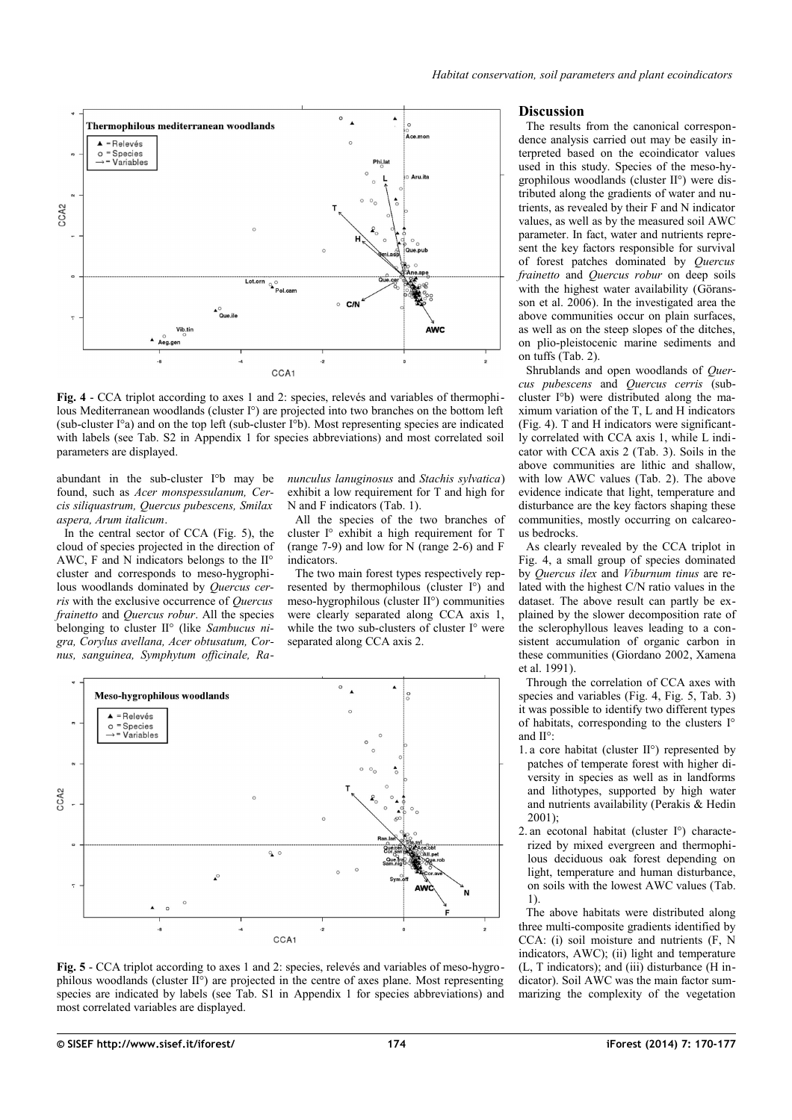



<span id="page-4-0"></span>**Fig. 4** - CCA triplot according to axes 1 and 2: species, relevés and variables of thermophilous Mediterranean woodlands (cluster I°) are projected into two branches on the bottom left (sub-cluster I°a) and on the top left (sub-cluster I°b). Most representing species are indicated with labels (see Tab. S2 in [Appendix 1](#page-7-0) for species abbreviations) and most correlated soil parameters are displayed.

abundant in the sub-cluster I°b may be found, such as *Acer monspessulanum, Cercis siliquastrum, Quercus pubescens, Smilax aspera, Arum italicum*.

In the central sector of CCA [\(Fig. 5\)](#page-4-1), the cloud of species projected in the direction of AWC, F and N indicators belongs to the II° cluster and corresponds to meso-hygrophilous woodlands dominated by *Quercus cerris* with the exclusive occurrence of *Quercus frainetto* and *Quercus robur*. All the species belonging to cluster II° (like *Sambucus nigra, Corylus avellana, Acer obtusatum, Cornus, sanguinea, Symphytum officinale, Ra-* *nunculus lanuginosus* and *Stachis sylvatica*) exhibit a low requirement for T and high for N and F indicators [\(Tab. 1\)](#page-2-0).

All the species of the two branches of cluster I° exhibit a high requirement for T (range 7-9) and low for N (range 2-6) and F indicators.

The two main forest types respectively represented by thermophilous (cluster I°) and meso-hygrophilous (cluster II°) communities were clearly separated along CCA axis 1, while the two sub-clusters of cluster I° were separated along CCA axis 2.



<span id="page-4-1"></span>**Fig. 5** - CCA triplot according to axes 1 and 2: species, relevés and variables of meso-hygrophilous woodlands (cluster II°) are projected in the centre of axes plane. Most representing species are indicated by labels (see Tab. S1 in [Appendix 1](#page-7-0) for species abbreviations) and most correlated variables are displayed.

#### **Discussion**

The results from the canonical correspondence analysis carried out may be easily interpreted based on the ecoindicator values used in this study. Species of the meso-hygrophilous woodlands (cluster II°) were distributed along the gradients of water and nutrients, as revealed by their F and N indicator values, as well as by the measured soil AWC parameter. In fact, water and nutrients represent the key factors responsible for survival of forest patches dominated by *Quercus frainetto* and *Quercus robur* on deep soils with the highest water availability (Göransson et al. 2006). In the investigated area the above communities occur on plain surfaces, as well as on the steep slopes of the ditches, on plio-pleistocenic marine sediments and on tuffs [\(Tab. 2\)](#page-3-0).

Shrublands and open woodlands of *Quercus pubescens* and *Quercus cerris* (subcluster I°b) were distributed along the maximum variation of the T, L and H indicators [\(Fig. 4\)](#page-4-0). T and H indicators were significantly correlated with CCA axis 1, while L indicator with CCA axis 2 [\(Tab. 3\)](#page-3-1). Soils in the above communities are lithic and shallow, with low AWC values [\(Tab. 2\)](#page-3-0). The above evidence indicate that light, temperature and disturbance are the key factors shaping these communities, mostly occurring on calcareous bedrocks.

As clearly revealed by the CCA triplot in [Fig. 4,](#page-4-0) a small group of species dominated by *Quercus ilex* and *Viburnum tinus* are related with the highest C/N ratio values in the dataset. The above result can partly be explained by the slower decomposition rate of the sclerophyllous leaves leading to a consistent accumulation of organic carbon in these communities (Giordano 2002, Xamena et al. 1991).

Through the correlation of CCA axes with species and variables [\(Fig. 4,](#page-4-0) [Fig. 5,](#page-4-1) [Tab. 3\)](#page-3-1) it was possible to identify two different types of habitats, corresponding to the clusters I° and II°:

- 1. a core habitat (cluster II°) represented by patches of temperate forest with higher diversity in species as well as in landforms and lithotypes, supported by high water and nutrients availability (Perakis & Hedin 2001);
- 2. an ecotonal habitat (cluster I°) characterized by mixed evergreen and thermophilous deciduous oak forest depending on light, temperature and human disturbance, on soils with the lowest AWC values [\(Tab.](#page-2-0) [1\)](#page-2-0).

The above habitats were distributed along three multi-composite gradients identified by CCA: (i) soil moisture and nutrients (F, N indicators, AWC); (ii) light and temperature (L, T indicators); and (iii) disturbance (H indicator). Soil AWC was the main factor summarizing the complexity of the vegetation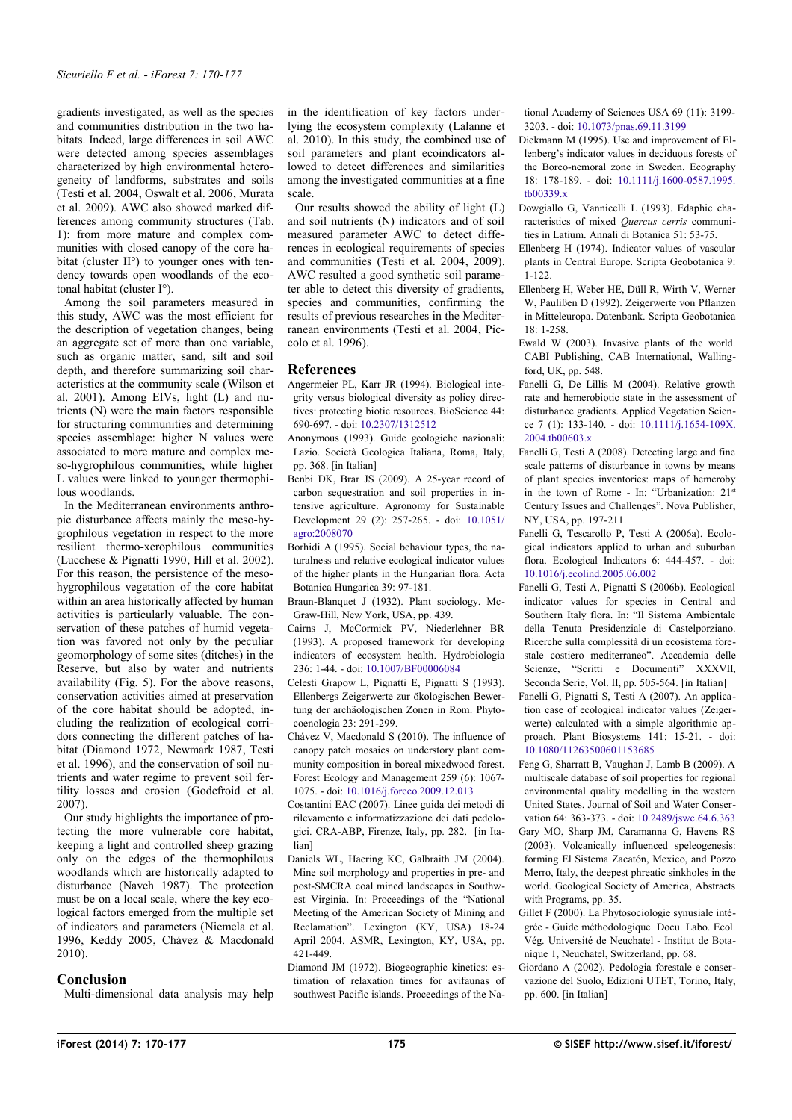gradients investigated, as well as the species and communities distribution in the two habitats. Indeed, large differences in soil AWC were detected among species assemblages characterized by high environmental heterogeneity of landforms, substrates and soils (Testi et al. 2004, Oswalt et al. 2006, Murata et al. 2009). AWC also showed marked differences among community structures [\(Tab.](#page-2-0) [1\)](#page-2-0): from more mature and complex communities with closed canopy of the core habitat (cluster II°) to younger ones with tendency towards open woodlands of the ecotonal habitat (cluster I°).

Among the soil parameters measured in this study, AWC was the most efficient for the description of vegetation changes, being an aggregate set of more than one variable, such as organic matter, sand, silt and soil depth, and therefore summarizing soil characteristics at the community scale (Wilson et al. 2001). Among EIVs, light (L) and nutrients (N) were the main factors responsible for structuring communities and determining species assemblage: higher N values were associated to more mature and complex meso-hygrophilous communities, while higher L values were linked to younger thermophilous woodlands.

In the Mediterranean environments anthropic disturbance affects mainly the meso-hygrophilous vegetation in respect to the more resilient thermo-xerophilous communities (Lucchese & Pignatti 1990, Hill et al. 2002). For this reason, the persistence of the mesohygrophilous vegetation of the core habitat within an area historically affected by human activities is particularly valuable. The conservation of these patches of humid vegetation was favored not only by the peculiar geomorphology of some sites (ditches) in the Reserve, but also by water and nutrients availability [\(Fig. 5\)](#page-4-1). For the above reasons, conservation activities aimed at preservation of the core habitat should be adopted, including the realization of ecological corridors connecting the different patches of habitat (Diamond 1972, Newmark 1987, Testi et al. 1996), and the conservation of soil nutrients and water regime to prevent soil fertility losses and erosion (Godefroid et al. 2007).

Our study highlights the importance of protecting the more vulnerable core habitat, keeping a light and controlled sheep grazing only on the edges of the thermophilous woodlands which are historically adapted to disturbance (Naveh 1987). The protection must be on a local scale, where the key ecological factors emerged from the multiple set of indicators and parameters (Niemela et al. 1996, Keddy 2005, Chávez & Macdonald 2010).

## **Conclusion**

Multi-dimensional data analysis may help

in the identification of key factors underlying the ecosystem complexity (Lalanne et al. 2010). In this study, the combined use of soil parameters and plant ecoindicators allowed to detect differences and similarities among the investigated communities at a fine scale.

Our results showed the ability of light (L) and soil nutrients (N) indicators and of soil measured parameter AWC to detect differences in ecological requirements of species and communities (Testi et al. 2004, 2009). AWC resulted a good synthetic soil parameter able to detect this diversity of gradients, species and communities, confirming the results of previous researches in the Mediterranean environments (Testi et al. 2004, Piccolo et al. 1996).

# **References**

- Angermeier PL, Karr JR (1994). Biological integrity versus biological diversity as policy directives: protecting biotic resources. BioScience 44: 690-697. - doi: [10.2307/1312512](http://dx.doi.org/10.2307/1312512)
- Anonymous (1993). Guide geologiche nazionali: Lazio. Società Geologica Italiana, Roma, Italy, pp. 368. [in Italian]
- Benbi DK, Brar JS (2009). A 25-year record of carbon sequestration and soil properties in intensive agriculture. Agronomy for Sustainable Development 29 (2): 257-265. - doi: [10.1051/](http://dx.doi.org/10.1051/agro:2008070) [agro:2008070](http://dx.doi.org/10.1051/agro:2008070)
- Borhidi A (1995). Social behaviour types, the naturalness and relative ecological indicator values of the higher plants in the Hungarian flora. Acta Botanica Hungarica 39: 97-181.
- Braun-Blanquet J (1932). Plant sociology. Mc-Graw-Hill, New York, USA, pp. 439.
- Cairns J, McCormick PV, Niederlehner BR (1993). A proposed framework for developing indicators of ecosystem health. Hydrobiologia 236: 1-44. - doi: [10.1007/BF00006084](http://dx.doi.org/10.1007/BF00006084)
- Celesti Grapow L, Pignatti E, Pignatti S (1993). Ellenbergs Zeigerwerte zur ökologischen Bewertung der archäologischen Zonen in Rom. Phytocoenologia 23: 291-299.
- Chávez V, Macdonald S (2010). The influence of canopy patch mosaics on understory plant community composition in boreal mixedwood forest. Forest Ecology and Management 259 (6): 1067- 1075. - doi: [10.1016/j.foreco.2009.12.013](http://dx.doi.org/10.1016/j.foreco.2009.12.013)
- Costantini EAC (2007). Linee guida dei metodi di rilevamento e informatizzazione dei dati pedologici. CRA-ABP, Firenze, Italy, pp. 282. [in Italian]
- Daniels WL, Haering KC, Galbraith JM (2004). Mine soil morphology and properties in pre- and post-SMCRA coal mined landscapes in Southwest Virginia. In: Proceedings of the "National Meeting of the American Society of Mining and Reclamation". Lexington (KY, USA) 18-24 April 2004. ASMR, Lexington, KY, USA, pp. 421-449.

Diamond JM (1972). Biogeographic kinetics: estimation of relaxation times for avifaunas of southwest Pacific islands. Proceedings of the Na-

tional Academy of Sciences USA 69 (11): 3199- 3203. - doi: [10.1073/pnas.69.11.3199](http://dx.doi.org/10.1073/pnas.69.11.3199)

- Diekmann M (1995). Use and improvement of Ellenberg's indicator values in deciduous forests of the Boreo-nemoral zone in Sweden. Ecography 18: 178-189. - doi: [10.1111/j.1600-0587.1995.](http://dx.doi.org/10.1111/j.1600-0587.1995.tb00339.x) [tb00339.x](http://dx.doi.org/10.1111/j.1600-0587.1995.tb00339.x)
- Dowgiallo G, Vannicelli L (1993). Edaphic characteristics of mixed *Quercus cerris* communities in Latium. Annali di Botanica 51: 53-75.
- Ellenberg H (1974). Indicator values of vascular plants in Central Europe. Scripta Geobotanica 9: 1-122.
- Ellenberg H, Weber HE, Düll R, Wirth V, Werner W, Paulißen D (1992). Zeigerwerte von Pflanzen in Mitteleuropa. Datenbank. Scripta Geobotanica 18: 1-258.
- Ewald W (2003). Invasive plants of the world. CABI Publishing, CAB International, Wallingford, UK, pp. 548.
- Fanelli G, De Lillis M (2004). Relative growth rate and hemerobiotic state in the assessment of disturbance gradients. Applied Vegetation Science 7 (1): 133-140. - doi: [10.1111/j.1654-109X.](http://dx.doi.org/10.1111/j.1654-109X.2004.tb00603.x) 2004.tb00603x
- Fanelli G, Testi A (2008). Detecting large and fine scale patterns of disturbance in towns by means of plant species inventories: maps of hemeroby in the town of Rome - In: "Urbanization: 21st Century Issues and Challenges". Nova Publisher, NY, USA, pp. 197-211.
- Fanelli G, Tescarollo P, Testi A (2006a). Ecological indicators applied to urban and suburban flora. Ecological Indicators 6: 444-457. - doi: [10.1016/j.ecolind.2005.06.002](http://dx.doi.org/10.1016/j.ecolind.2005.06.002)
- Fanelli G, Testi A, Pignatti S (2006b). Ecological indicator values for species in Central and Southern Italy flora. In: "Il Sistema Ambientale della Tenuta Presidenziale di Castelporziano. Ricerche sulla complessità di un ecosistema forestale costiero mediterraneo". Accademia delle Scienze, "Scritti e Documenti" XXXVII, Seconda Serie, Vol. II, pp. 505-564. [in Italian]
- Fanelli G, Pignatti S, Testi A (2007). An application case of ecological indicator values (Zeigerwerte) calculated with a simple algorithmic approach. Plant Biosystems 141: 15-21. - doi: [10.1080/11263500601153685](http://dx.doi.org/10.1080/11263500601153685)
- Feng G, Sharratt B, Vaughan J, Lamb B (2009). A multiscale database of soil properties for regional environmental quality modelling in the western United States. Journal of Soil and Water Conservation 64: 363-373. - doi: [10.2489/jswc.64.6.363](http://dx.doi.org/10.2489/jswc.64.6.363)
- Gary MO, Sharp JM, Caramanna G, Havens RS (2003). Volcanically influenced speleogenesis: forming El Sistema Zacatón, Mexico, and Pozzo Merro, Italy, the deepest phreatic sinkholes in the world. Geological Society of America, Abstracts with Programs, pp. 35.
- Gillet F (2000). La Phytosociologie synusiale intégrée - Guide méthodologique. Docu. Labo. Ecol. Vég. Université de Neuchatel - Institut de Botanique 1, Neuchatel, Switzerland, pp. 68.
- Giordano A (2002). Pedologia forestale e conservazione del Suolo, Edizioni UTET, Torino, Italy, pp. 600. [in Italian]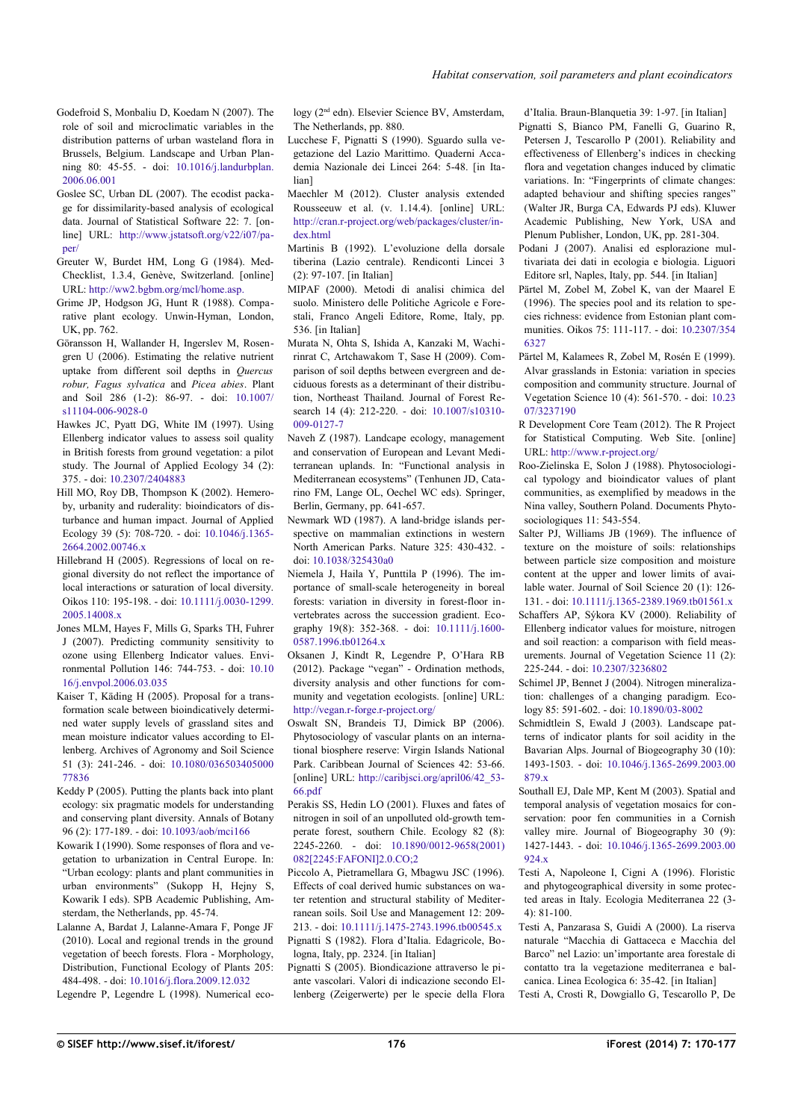- Godefroid S, Monbaliu D, Koedam N (2007). The role of soil and microclimatic variables in the distribution patterns of urban wasteland flora in Brussels, Belgium. Landscape and Urban Planning 80: 45-55. - doi: [10.1016/j.landurbplan.](http://dx.doi.org/10.1016/j.landurbplan.2006.06.001) [2006.06.001](http://dx.doi.org/10.1016/j.landurbplan.2006.06.001)
- Goslee SC, Urban DL (2007). The ecodist package for dissimilarity-based analysis of ecological data. Journal of Statistical Software 22: 7. [online] URL: [http://www.jstatsoft.org/v22/i07/pa](http://www.jstatsoft.org/v22/i07/paper/)[per/](http://www.jstatsoft.org/v22/i07/paper/)
- Greuter W, Burdet HM, Long G (1984). Med-Checklist, 1.3.4, Genève, Switzerland. [online] URL:<http://ww2.bgbm.org/mcl/home.asp.>
- Grime JP, Hodgson JG, Hunt R (1988). Comparative plant ecology. Unwin-Hyman, London, UK, pp. 762.
- Göransson H, Wallander H, Ingerslev M, Rosengren U (2006). Estimating the relative nutrient uptake from different soil depths in *Quercus robur, Fagus sylvatica* and *Picea abies*. Plant and Soil 286 (1-2): 86-97. - doi: [10.1007/](http://dx.doi.org/10.1007/s11104-006-9028-0) [s11104-006-9028-0](http://dx.doi.org/10.1007/s11104-006-9028-0)
- Hawkes JC, Pyatt DG, White IM (1997). Using Ellenberg indicator values to assess soil quality in British forests from ground vegetation: a pilot study. The Journal of Applied Ecology 34 (2): 375. - doi: [10.2307/2404883](http://dx.doi.org/10.2307/2404883)
- Hill MO, Roy DB, Thompson K (2002). Hemeroby, urbanity and ruderality: bioindicators of disturbance and human impact. Journal of Applied Ecology 39 (5): 708-720. - doi: [10.1046/j.1365-](http://dx.doi.org/10.1046/j.1365-2664.2002.00746.x) [2664.2002.00746.x](http://dx.doi.org/10.1046/j.1365-2664.2002.00746.x)
- Hillebrand H (2005). Regressions of local on regional diversity do not reflect the importance of local interactions or saturation of local diversity. Oikos 110: 195-198. - doi: [10.1111/j.0030-1299.](http://dx.doi.org/10.1111/j.0030-1299.2005.14008.x) [2005.14008.x](http://dx.doi.org/10.1111/j.0030-1299.2005.14008.x)
- Jones MLM, Hayes F, Mills G, Sparks TH, Fuhrer J (2007). Predicting community sensitivity to ozone using Ellenberg Indicator values. Environmental Pollution 146: 744-753. - doi: [10.10](http://dx.doi.org/10.1016/j.envpol.2006.03.035) [16/j.envpol.2006.03.035](http://dx.doi.org/10.1016/j.envpol.2006.03.035)
- Kaiser T, Käding H (2005). Proposal for a transformation scale between bioindicatively determined water supply levels of grassland sites and mean moisture indicator values according to Ellenberg. Archives of Agronomy and Soil Science 51 (3): 241-246. - doi: [10.1080/036503405000](http://dx.doi.org/10.1080/03650340500077836) [77836](http://dx.doi.org/10.1080/03650340500077836)
- Keddy P (2005). Putting the plants back into plant ecology: six pragmatic models for understanding and conserving plant diversity. Annals of Botany 96 (2): 177-189. - doi: [10.1093/aob/mci166](http://dx.doi.org/10.1093/aob/mci166)
- Kowarik I (1990). Some responses of flora and vegetation to urbanization in Central Europe. In: "Urban ecology: plants and plant communities in urban environments" (Sukopp H, Hejny S, Kowarik I eds). SPB Academic Publishing, Amsterdam, the Netherlands, pp. 45-74.
- Lalanne A, Bardat J, Lalanne-Amara F, Ponge JF (2010). Local and regional trends in the ground vegetation of beech forests. Flora - Morphology, Distribution, Functional Ecology of Plants 205: 484-498. - doi: [10.1016/j.flora.2009.12.032](http://dx.doi.org/10.1016/j.flora.2009.12.032)
- Legendre P, Legendre L (1998). Numerical eco-

logy (2nd edn). Elsevier Science BV, Amsterdam, The Netherlands, pp. 880.

- Lucchese F, Pignatti S (1990). Sguardo sulla vegetazione del Lazio Marittimo. Quaderni Accademia Nazionale dei Lincei 264: 5-48. [in Italian]
- Maechler M (2012). Cluster analysis extended Rousseeuw et al. (v. 1.14.4). [online] URL: [http://cran.r-project.org/web/packages/cluster/in](http://cran.r-project.org/web/packages/cluster/index.html)[dex.html](http://cran.r-project.org/web/packages/cluster/index.html)
- Martinis B (1992). L'evoluzione della dorsale tiberina (Lazio centrale). Rendiconti Lincei 3 (2): 97-107. [in Italian]
- MIPAF (2000). Metodi di analisi chimica del suolo. Ministero delle Politiche Agricole e Forestali, Franco Angeli Editore, Rome, Italy, pp. 536. [in Italian]
- Murata N, Ohta S, Ishida A, Kanzaki M, Wachirinrat C, Artchawakom T, Sase H (2009). Comparison of soil depths between evergreen and deciduous forests as a determinant of their distribution, Northeast Thailand. Journal of Forest Research 14 (4): 212-220. - doi: [10.1007/s10310-](http://dx.doi.org/10.1007/s10310-009-0127-7) [009-0127-7](http://dx.doi.org/10.1007/s10310-009-0127-7)
- Naveh Z (1987). Landcape ecology, management and conservation of European and Levant Mediterranean uplands. In: "Functional analysis in Mediterranean ecosystems" (Tenhunen JD, Catarino FM, Lange OL, Oechel WC eds). Springer, Berlin, Germany, pp. 641-657.
- Newmark WD (1987). A land-bridge islands perspective on mammalian extinctions in western North American Parks. Nature 325: 430-432. doi: [10.1038/325430a0](http://dx.doi.org/10.1038/325430a0)
- Niemela J, Haila Y, Punttila P (1996). The importance of small-scale heterogeneity in boreal forests: variation in diversity in forest-floor invertebrates across the succession gradient. Ecography 19(8): 352-368. - doi: [10.1111/j.1600-](http://dx.doi.org/10.1111/j.1600-0587.1996.tb01264.x) [0587.1996.tb01264.x](http://dx.doi.org/10.1111/j.1600-0587.1996.tb01264.x)
- Oksanen J, Kindt R, Legendre P, O'Hara RB (2012). Package "vegan" - Ordination methods, diversity analysis and other functions for community and vegetation ecologists. [online] URL: <http://vegan.r-forge.r-project.org/>
- Oswalt SN, Brandeis TJ, Dimick BP (2006). Phytosociology of vascular plants on an international biosphere reserve: Virgin Islands National Park. Caribbean Journal of Sciences 42: 53-66. [online] URL: [http://caribjsci.org/april06/42\\_53-](http://caribjsci.org/april06/42_53-66.pdf) [66.pdf](http://caribjsci.org/april06/42_53-66.pdf)
- Perakis SS, Hedin LO (2001). Fluxes and fates of nitrogen in soil of an unpolluted old-growth temperate forest, southern Chile. Ecology 82 (8): 2245-2260. - doi: [10.1890/0012-9658\(2001\)](http://dx.doi.org/10.1890/0012-9658(2001)082%5B2245:FAFONI%5D2.0.CO;2) [082\[2245:FAFONI\]2.0.CO;2](http://dx.doi.org/10.1890/0012-9658(2001)082%5B2245:FAFONI%5D2.0.CO;2)
- Piccolo A, Pietramellara G, Mbagwu JSC (1996). Effects of coal derived humic substances on water retention and structural stability of Mediterranean soils. Soil Use and Management 12: 209- 213. - doi: [10.1111/j.1475-2743.1996.tb00545.x](http://dx.doi.org/10.1111/j.1475-2743.1996.tb00545.x)
- Pignatti S (1982). Flora d'Italia. Edagricole, Bologna, Italy, pp. 2324. [in Italian]
- Pignatti S (2005). Biondicazione attraverso le piante vascolari. Valori di indicazione secondo Ellenberg (Zeigerwerte) per le specie della Flora
- d'Italia. Braun-Blanquetia 39: 1-97. [in Italian] Pignatti S, Bianco PM, Fanelli G, Guarino R, Petersen J, Tescarollo P (2001). Reliability and effectiveness of Ellenberg's indices in checking flora and vegetation changes induced by climatic variations. In: "Fingerprints of climate changes: adapted behaviour and shifting species ranges" (Walter JR, Burga CA, Edwards PJ eds). Kluwer Academic Publishing, New York, USA and Plenum Publisher, London, UK, pp. 281-304.
- Podani J (2007). Analisi ed esplorazione multivariata dei dati in ecologia e biologia. Liguori Editore srl, Naples, Italy, pp. 544. [in Italian]
- Pärtel M, Zobel M, Zobel K, van der Maarel E (1996). The species pool and its relation to species richness: evidence from Estonian plant communities. Oikos 75: 111-117. - doi: [10.2307/354](http://dx.doi.org/10.2307/3546327) [6327](http://dx.doi.org/10.2307/3546327)
- Pärtel M, Kalamees R, Zobel M, Rosén E (1999). Alvar grasslands in Estonia: variation in species composition and community structure. Journal of Vegetation Science 10 (4): 561-570. - doi: [10.23](http://dx.doi.org/10.2307/3237190) [07/3237190](http://dx.doi.org/10.2307/3237190)
- R Development Core Team (2012). The R Project for Statistical Computing. Web Site. [online] URL:<http://www.r-project.org/>
- Roo-Zielinska E, Solon J (1988). Phytosociological typology and bioindicator values of plant communities, as exemplified by meadows in the Nina valley, Southern Poland. Documents Phytosociologiques 11: 543-554.
- Salter PJ, Williams JB (1969). The influence of texture on the moisture of soils: relationships between particle size composition and moisture content at the upper and lower limits of available water. Journal of Soil Science 20 (1): 126- 131. - doi: [10.1111/j.1365-2389.1969.tb01561.x](http://dx.doi.org/10.1111/j.1365-2389.1969.tb01561.x)
- Schaffers AP, Sýkora KV (2000). Reliability of Ellenberg indicator values for moisture, nitrogen and soil reaction: a comparison with field measurements. Journal of Vegetation Science 11 (2): 225-244. - doi: [10.2307/3236802](http://dx.doi.org/10.2307/3236802)
- Schimel JP, Bennet J (2004). Nitrogen mineralization: challenges of a changing paradigm. Ecology 85: 591-602. - doi: [10.1890/03-8002](http://dx.doi.org/10.1890/03-8002)
- Schmidtlein S, Ewald J (2003). Landscape patterns of indicator plants for soil acidity in the Bavarian Alps. Journal of Biogeography 30 (10): 1493-1503. - doi: [10.1046/j.1365-2699.2003.00](http://dx.doi.org/10.1046/j.1365-2699.2003.00879.x) [879.x](http://dx.doi.org/10.1046/j.1365-2699.2003.00879.x)
- Southall EJ, Dale MP, Kent M (2003). Spatial and temporal analysis of vegetation mosaics for conservation: poor fen communities in a Cornish valley mire. Journal of Biogeography 30 (9): 1427-1443. - doi: [10.1046/j.1365-2699.2003.00](http://dx.doi.org/10.1046/j.1365-2699.2003.00924.x) [924.x](http://dx.doi.org/10.1046/j.1365-2699.2003.00924.x)
- Testi A, Napoleone I, Cigni A (1996). Floristic and phytogeographical diversity in some protected areas in Italy. Ecologia Mediterranea 22 (3-  $4) \cdot 81 - 100$
- Testi A, Panzarasa S, Guidi A (2000). La riserva naturale "Macchia di Gattaceca e Macchia del Barco" nel Lazio: un'importante area forestale di contatto tra la vegetazione mediterranea e balcanica. Linea Ecologica 6: 35-42. [in Italian]
- Testi A, Crosti R, Dowgiallo G, Tescarollo P, De